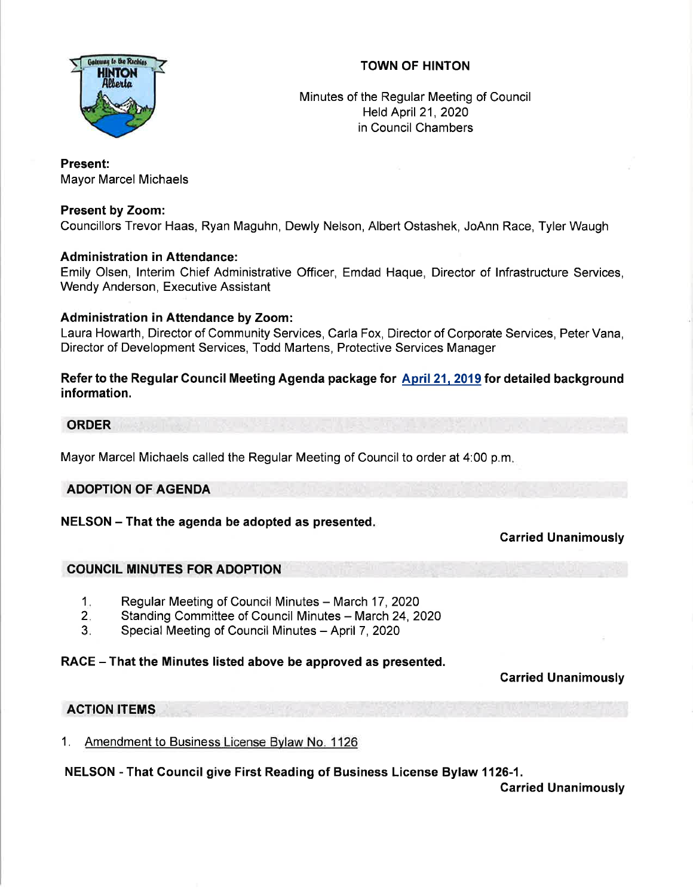# TOWN OF HINTON



Minutes of the Regular Meeting of Council Held April 21, 2020 in Council Chambers

### Present:

Mayor Marcel Michaels

### Present by Zoom:

Councillors Trevor Haas, Ryan Maguhn, Dewly Nelson, Albert Ostashek, JoAnn Race, Tyler Waugh

### Administration in Attendance:

Emily Olsen, lnterim Chief Administrative Officer, Emdad Haque, Director of lnfrastructure Services, Wendy Anderson, Executive Assistant

### Administration in Attendance by Zoom:

Laura Howarth, Director of Community Services, Carla Fox, Director of Corporate Services, Peter Vana, Director of Development Services, Todd Martens, Protective Services Manager

Refer to the Regular Gouncil Meeting Agenda package for April 21, 2019 for detailed background information.

#### ORDER

Mayor Marcel Michaels called the Regular Meeting of Council to order at 4:00 p.m

# ADOPTION OF AGENDA

#### NELSON - That the agenda be adopted as presented.

# Garried Unanimously

# COUNCIL MINUTES FOR ADOPTION

- Regular Meeting of Council Minutes March 17, 2020 1
- Standing Committee of Council Minutes March 24, 2020  $2.$
- Special Meeting of Council Minutes April 7, 2020  $3<sub>i</sub>$

# RACE – That the Minutes listed above be approved as presented.

#### Garried Unanimously

# ACTION ITEMS

1. Amendment to Business License Bvlaw No. <sup>1126</sup>

# NELSON - That Council give First Reading of Business License Bylaw 1126-1.

Carried Unanimously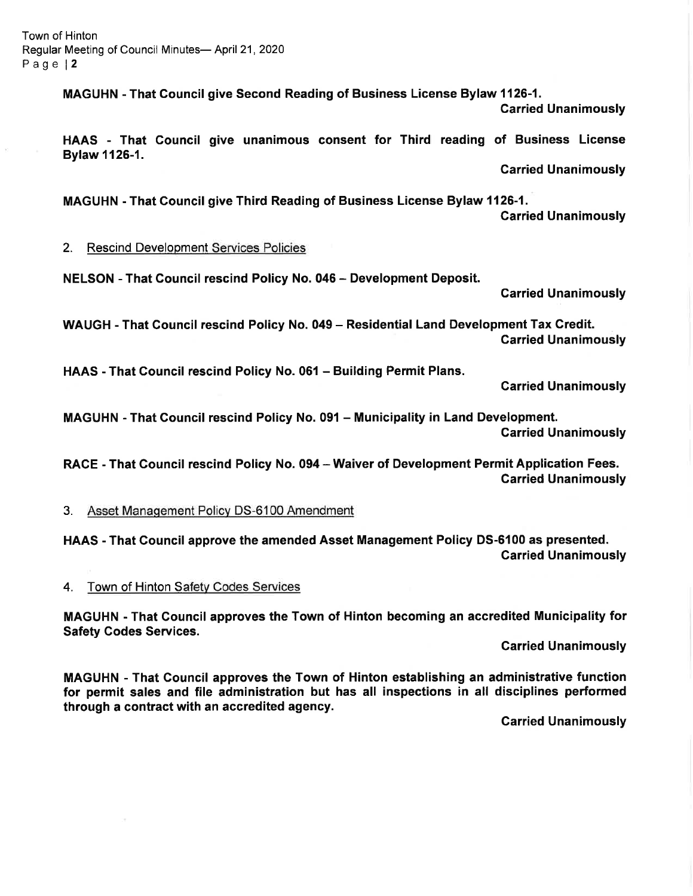MAGUHN - That Gouncil give Second Reading of Business License Bylaw 1126-1.

Carried Unanimously

HAAS - That Council give unanimous consent for Third reading of Business License Bylaw 1126-1.

Garried Unanimously

MAGUHN - That Gouncil give Third Reading of Business License Bylaw 1126-1. Carried Unanimously

#### 2. Rescind Development Services Policies

NELSON - That Gouncil rescind Policy No. 045 - Development Deposit.

Garried Unanimously

WAUGH - That Council rescind Policy No. 049 - Residential Land Development Tax Credit. Garried Unanimously

HAAS - That Gouncil rescind Policy No. 061 - Building Permit Plans.

Garried Unanimously

MAGUHN - That Council rescind Policy No. 091 - Municipality in Land Development. Garried Unanimously

RACE - That Council rescind Policy No. 094 - Waiver of Development Permit Application Fees. Carried Unanimously

3. Asset Management Policy DS-6100 Amendment

HAAS - That Gouncil approve the amended Asset Management Policy DS-6100 as presented. Carried Unanimously

4. Town of Hinton Safety Codes Services

MAGUHN - That Gouncil approves the Town of Hinton becoming an accredited Municipality for Safety Godes Services.

Carried Unanimously

MAGUHN - That Council approves the Town of Hinton establishing an administrative function for permit sales and file administration but has all inspections in all disciplines performed through a contract with an accredited agency.

Garried Unanimously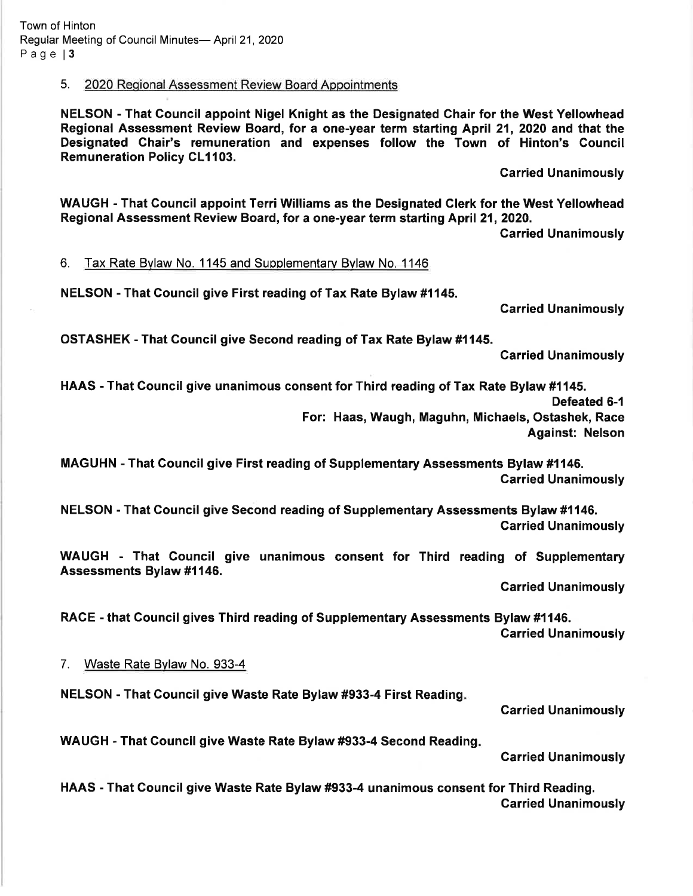5. 2020 Regional Assessment Review Board Appointments

NELSON - That Gouncil appoint Nigel Knight as the Designated Chair for the West Yellowhead Regional Assessment Review Board, for a one-year term starting April 21 , 2020 and that the Designated Chair's remuneration and expenses follow the Town of Hinton's Gouncil **Remuneration Policy CL1103.** 

Carried Unanimously

WAUGH - That Council appoint Terri Williams as the Designated Glerk for the West Yellowhead Regional Assessment Review Board, for a one-year term starting April 21, 2020.

Carried Unanimously

6. Tax Rate Bvlaw No. 1145 and Supplementarv Bvlaw No. <sup>1146</sup>

NELSON - That Gouncil give First reading of Tax Rate Bylaw #1145.

Garried Unanimously

OSTASHEK - That Council give Second reading of Tax Rate Bylaw #1145.

Garried Unanimously

HAAS - That Council give unanimous consent for Third reading of Tax Rate Bylaw #1145. Defeated 6-1 For: Haas, Waugh, Maguhn, Michaels, Ostashek, Race Against: Nelson

MAGUHN - That Gouncil give First reading of Supplementary Assessments Bylaw #1146. Garried Unanimously

NELSON - That Gouncil give Second reading of Supplementary Assessments Bylaw #1146. Carried Unanimously

WAUGH - That Gouncil give unanimous consent for Third reading of Supplementary Assessments Bylaw #1146.

Garried Unanimously

RACE - that Council gives Third reading of Supplementary Assessments Bylaw #1146. Carried Unanimously

7. Waste Rate Bylaw No. 933-4

NELSON - That Council give Waste Rate Bylaw #933-4 First Reading

Garried Unanimously

WAUGH - That Gouncil give Waste Rate Bylaw #933-4 Second Reading

Garried Unanimously

HAAS - That Gouncil give Waste Rate Bylaw #933-4 unanimous consent for Third Reading. Garried Unanimously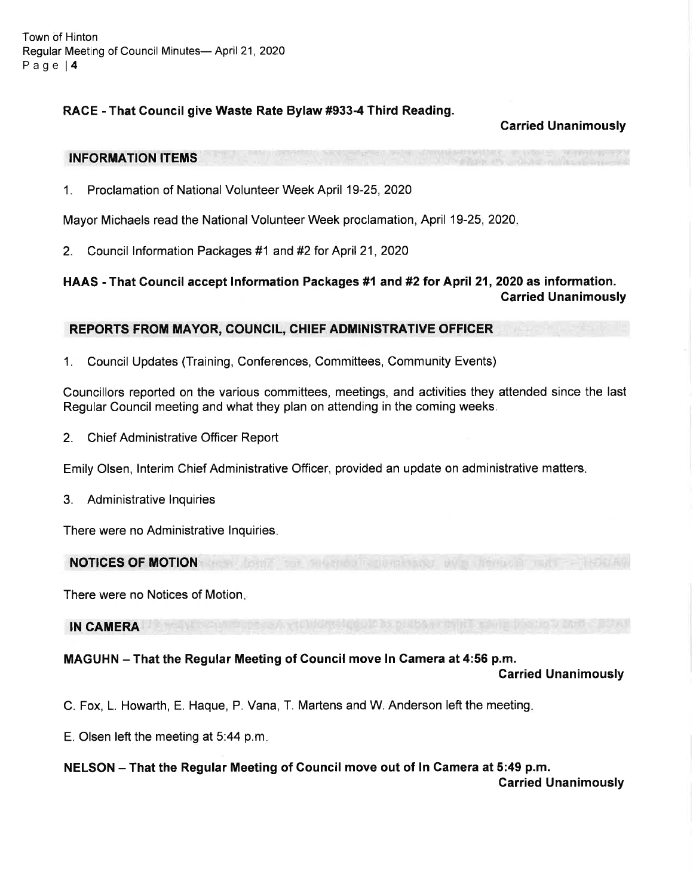## RACE - That Council give Waste Rate Bylaw #933-4 Third Reading.

### Carried Unanimously

#### INFORMATION ITEMS

1. Proclamation of National Volunteer Week April 19-25,2020

Mayor Michaels read the National Volunteer Week proclamation, April 19-25, 2020.

2. Council Information Packages #1 and #2 for April 21, 2020

## HAAS - That Council accept lnformation Packages #1 and #2 tor April 21,2020 as information. Carried Unanimously

#### REPORTS FROM MAYOR, COUNCIL, CHIEF ADMINISTRATIVE OFFICER

1. Council Updates (Training, Conferences, Committees, Community Events)

Councillors reported on the various committees, meetings, and activities they attended since the last Regular Council meeting and what they plan on attending in the coming weeks.

2. Chief Administrative Officer Report

Emily Olsen, lnterim Chief Administrative Officer, provided an update on administrative matters

3. Administrative lnquiries

There were no Administrative lnquiries

NOTICES OF MOTION

There were no Notices of Motion

#### IN CAMERA

#### MAGUHN - That the Regular Meeting of Council move In Gamera at 4:56 p.m.

#### Carried Unanimously

C. Fox, L. Howarth, E. Haque, P. Vana, T. Martens and W. Anderson left the meeting

- E. Olsen left the meeting at 5:44 p.m
- NELSON That the Regular Meeting of Council move out of ln Camera at 5:49 p.m.

Carried Unanimously